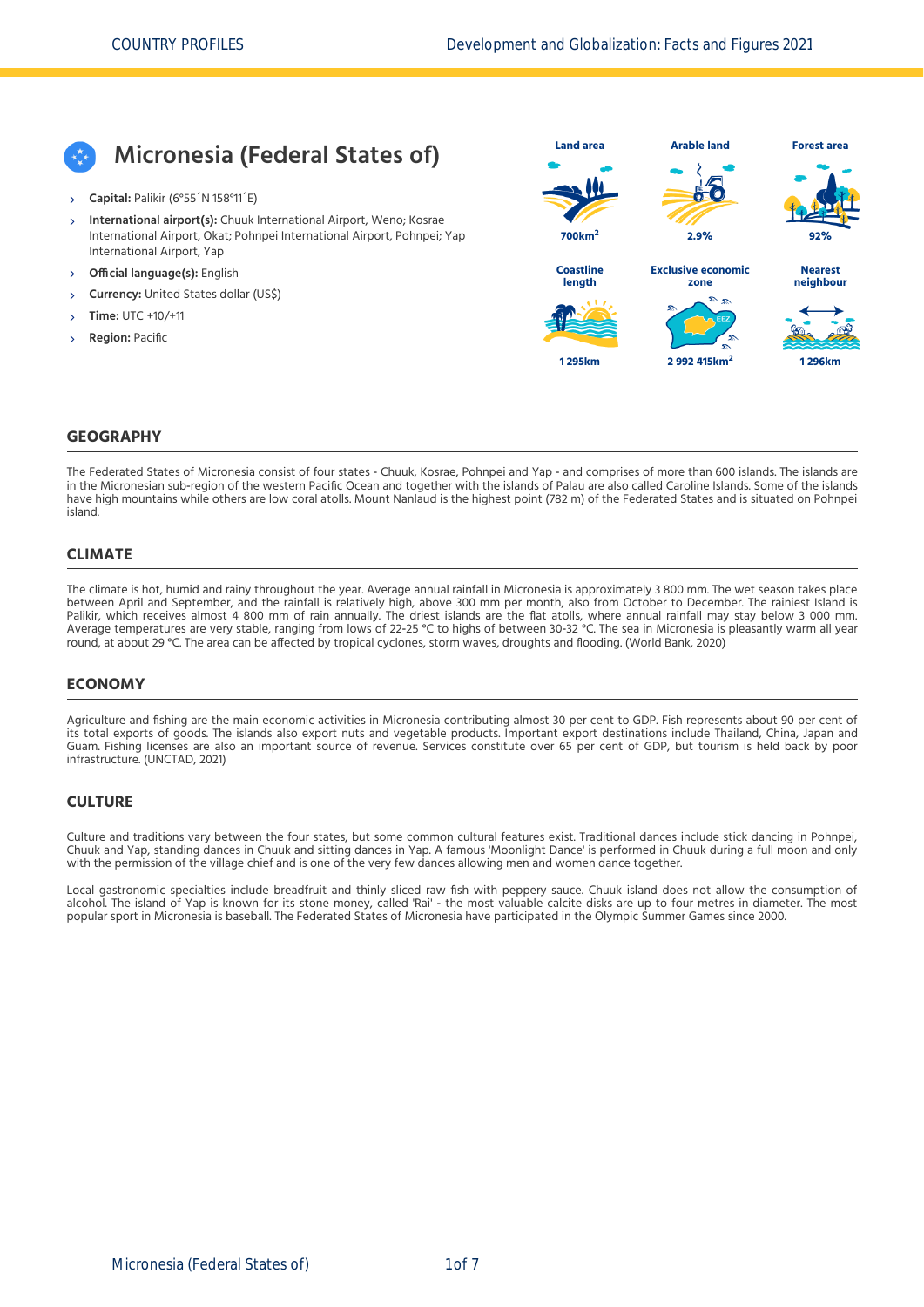# **Micronesia (Federal States of)**

- **Capital:** Palikir (6°55´N 158°11´E)
- **International airport(s):** Chuuk International Airport, Weno; Kosrae International Airport, Okat; Pohnpei International Airport, Pohnpei; Yap International Airport, Yap  $\overline{\phantom{a}}$
- **Official language(s):** English
- **Currency:** United States dollar (US\$)
- **Time:** UTC +10/+11
- **Region:** Pacific



#### **GEOGRAPHY**

The Federated States of Micronesia consist of four states ‐ Chuuk, Kosrae, Pohnpei and Yap ‐ and comprises of more than 600 islands. The islands are in the Micronesian sub‐region of the western Pacific Ocean and together with the islands of Palau are also called Caroline Islands. Some of the islands have high mountains while others are low coral atolls. Mount Nanlaud is the highest point (782 m) of the Federated States and is situated on Pohnpei island.

#### **CLIMATE**

The climate is hot, humid and rainy throughout the year. Average annual rainfall in Micronesia is approximately 3 800 mm. The wet season takes place between April and September, and the rainfall is relatively high, above 300 mm per month, also from October to December. The rainiest Island is Palikir, which receives almost 4 800 mm of rain annually. The driest islands are the flat atolls, where annual rainfall may stay below 3 000 mm.<br>Average temperatures are very stable, ranging from lows of 22-25 °C to highs round, at about 29 °C. The area can be affected by tropical cyclones, storm waves, droughts and flooding. [\(World Bank, 2020\)](#page-6-0)

#### **ECONOMY**

Agriculture and fishing are the main economic activities in Micronesia contributing almost 30 per cent to GDP. Fish represents about 90 per cent of its total exports of goods. The islands also export nuts and vegetable products. Important export destinations include Thailand, China, Japan and Guam. Fishing licenses are also an important source of revenue. Services constitute over 65 per cent of GDP, but tourism is held back by poor infrastructure. [\(UNCTAD, 2021\)](#page-6-1)

#### **CULTURE**

Culture and traditions vary between the four states, but some common cultural features exist. Traditional dances include stick dancing in Pohnpei, Chuuk and Yap, standing dances in Chuuk and sitting dances in Yap. A famous 'Moonlight Dance' is performed in Chuuk during a full moon and only with the permission of the village chief and is one of the very few dances allowing men and women dance together.

Local gastronomic specialties include breadfruit and thinly sliced raw fish with peppery sauce. Chuuk island does not allow the consumption of alcohol. The island of Yap is known for its stone money, called 'Rai' ‐ the most valuable calcite disks are up to four metres in diameter. The most popular sport in Micronesia is baseball. The Federated States of Micronesia have participated in the Olympic Summer Games since 2000.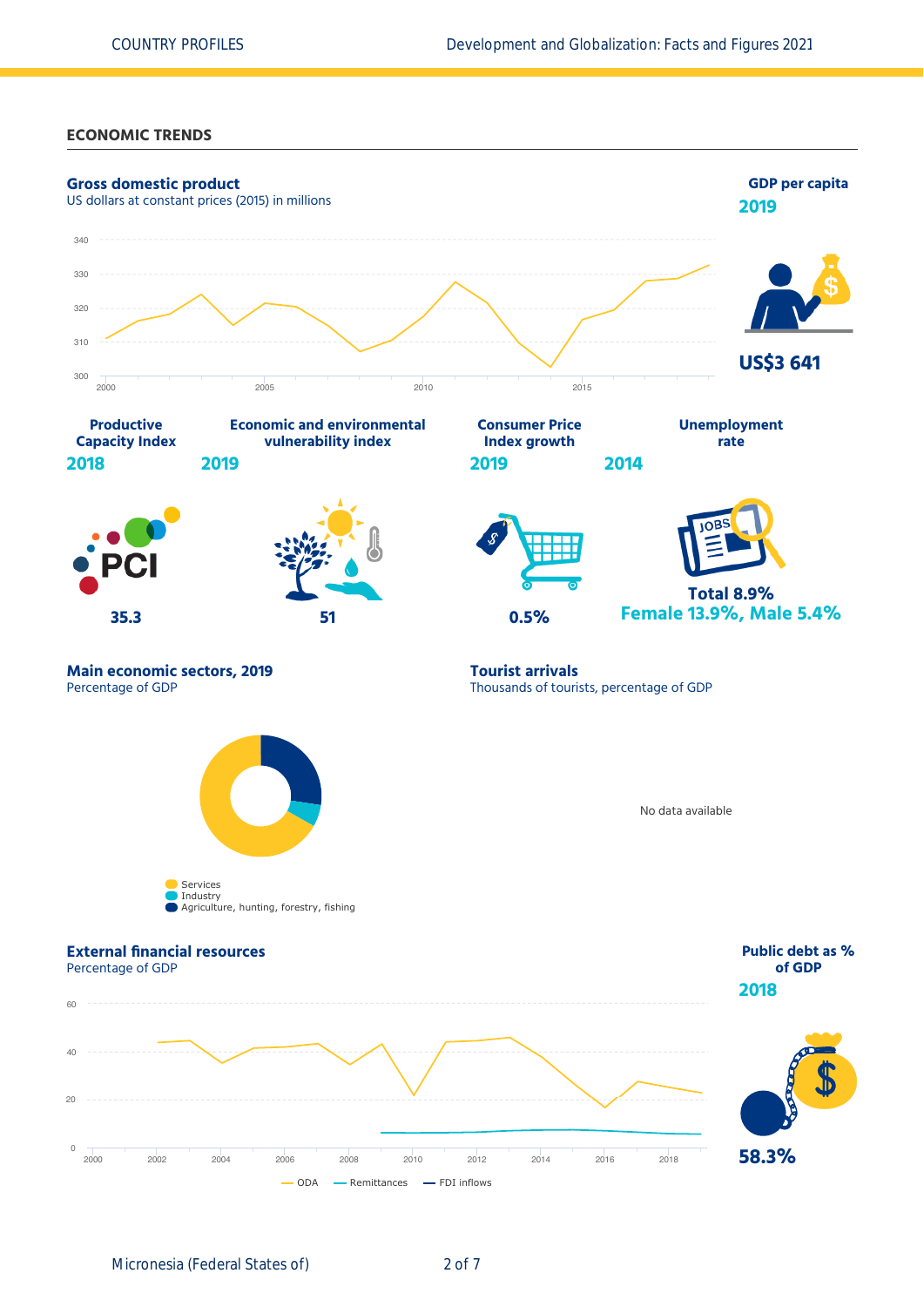#### **ECONOMIC TRENDS**

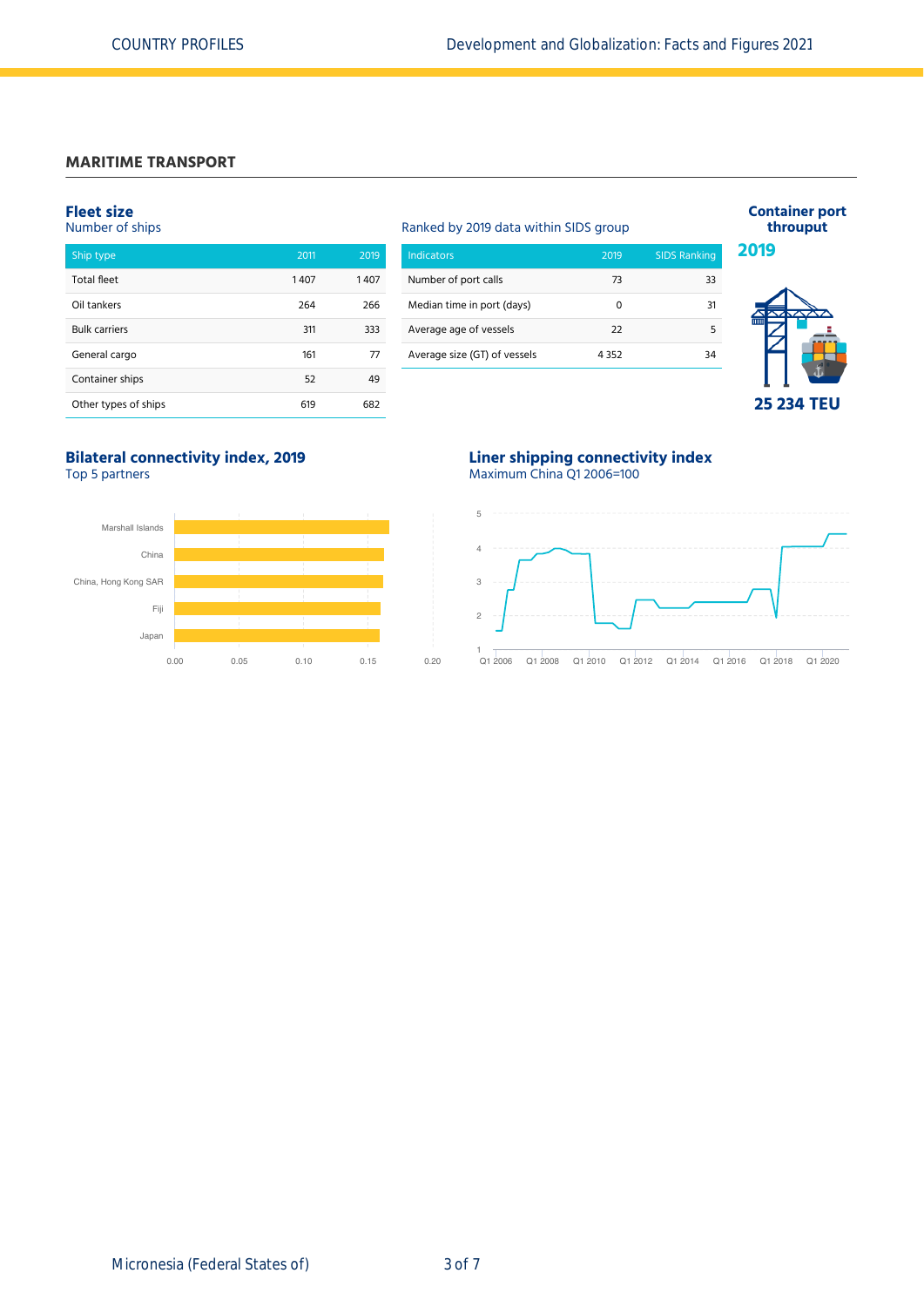# **MARITIME TRANSPORT**

#### **Fleet size**

| Number of ships      |      |      |  |  |  |  |
|----------------------|------|------|--|--|--|--|
| Ship type            | 2011 | 2019 |  |  |  |  |
| <b>Total fleet</b>   | 1407 | 1407 |  |  |  |  |
| Oil tankers          | 264  | 266  |  |  |  |  |
| <b>Bulk carriers</b> | 311  | 333  |  |  |  |  |
| General cargo        | 161  | 77   |  |  |  |  |
| Container ships      | 52   | 49   |  |  |  |  |
| Other types of ships | 619  | 682  |  |  |  |  |

# Ranked by 2019 data within SIDS group Indicators 2019 SIDS Ranking

| Number of port calls         | 73   | 33 |
|------------------------------|------|----|
| Median time in port (days)   | n    | 31 |
| Average age of vessels       | 22   |    |
| Average size (GT) of vessels | 4352 | ٦Δ |
|                              |      |    |



**Container port throuput**

# **25 234 TEU**

# **Bilateral connectivity index, 2019**

Top 5 partners



**Liner shipping connectivity index** Maximum China Q1 2006=100

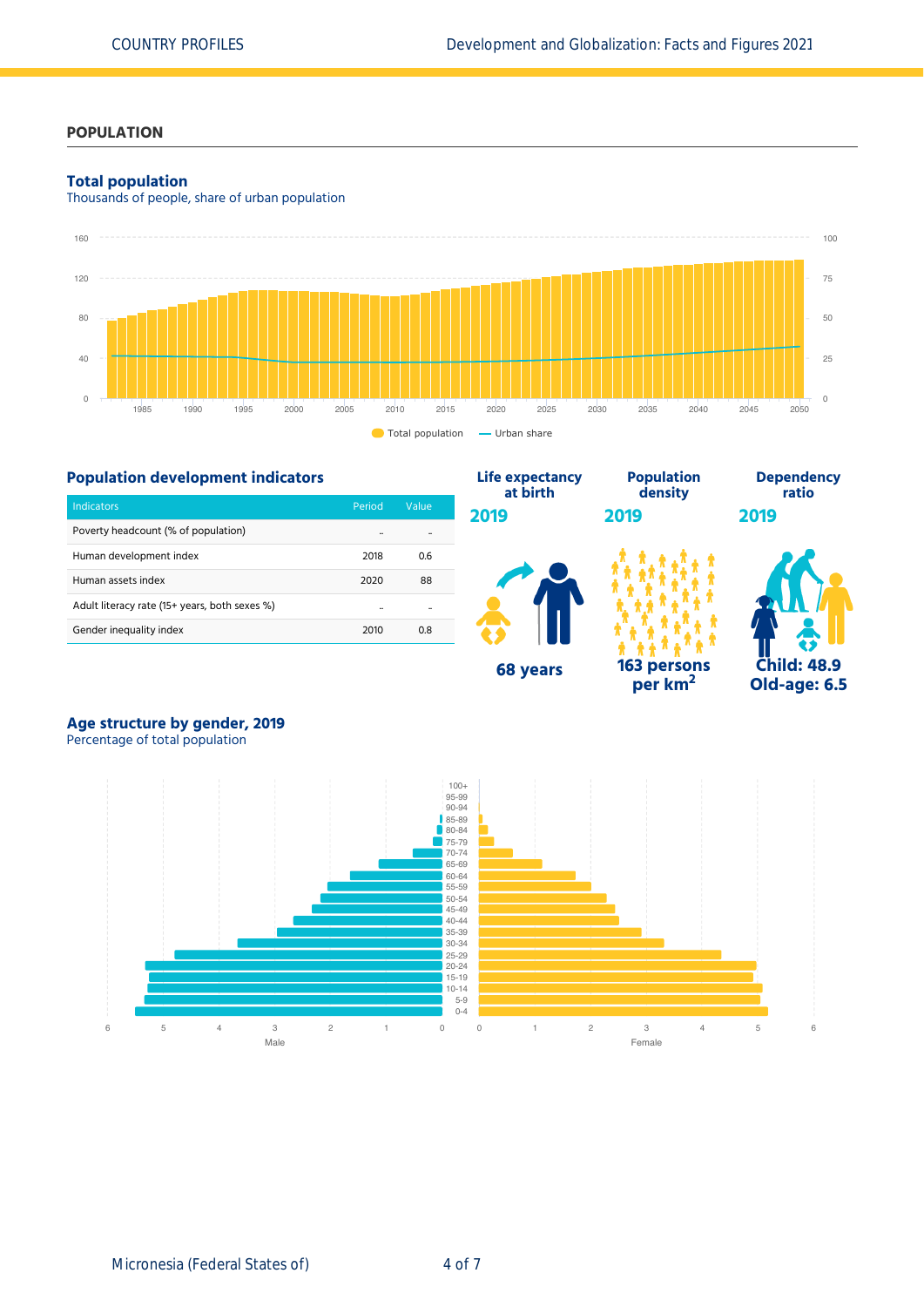# **POPULATION**

#### **Total population**

Thousands of people, share of urban population



**Life expectancy**

**68 years**

# **Population development indicators**

| Indicators                                    | Period               | Value |  |
|-----------------------------------------------|----------------------|-------|--|
| Poverty headcount (% of population)           | $\ddot{\phantom{a}}$ |       |  |
| Human development index                       | 2018                 | 0.6   |  |
| Human assets index                            | 2020                 | 88    |  |
| Adult literacy rate (15+ years, both sexes %) |                      |       |  |
| Gender inequality index                       | 2010                 | 0.8   |  |



**Population**

**per km<sup>2</sup>**



**Dependency ratio**

# **Age structure by gender, 2019**

Percentage of total population

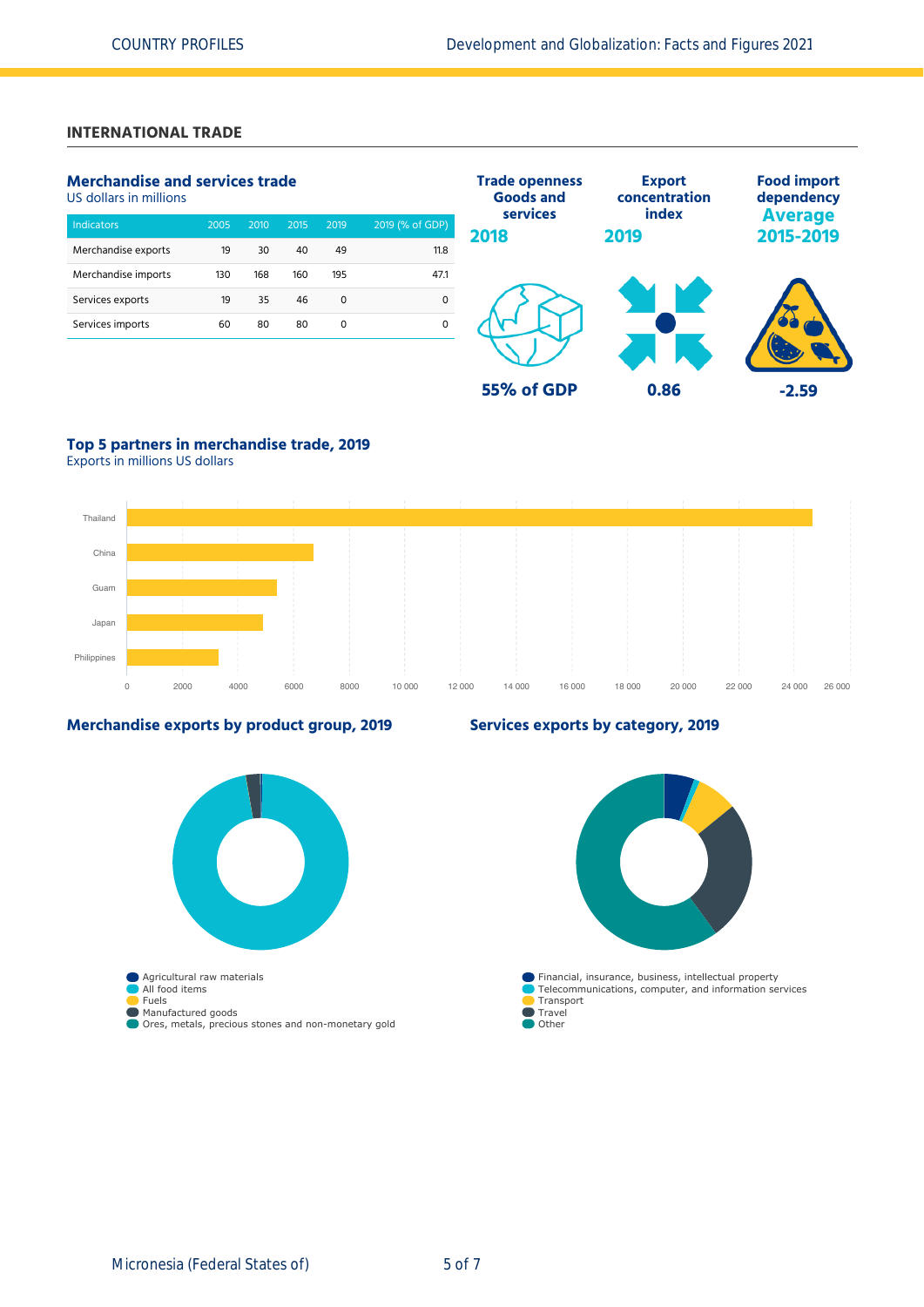# **INTERNATIONAL TRADE**

## **Merchandise and services trade**

US dollars in millions

| <b>Indicators</b>   | 2005 | 2010 | 2015 | 2019 | 2019 (% of GDP) |
|---------------------|------|------|------|------|-----------------|
| Merchandise exports | 19   | 30   | 40   | 49   | 11.8            |
| Merchandise imports | 130  | 168  | 160  | 195  | 47.1            |
| Services exports    | 19   | 35   | 46   | 0    | 0               |
| Services imports    | 60   | 80   | 80   | 0    |                 |
|                     |      |      |      |      |                 |



# **Top 5 partners in merchandise trade, 2019**

Exports in millions US dollars



#### **Merchandise exports by product group, 2019**



## **Services exports by category, 2019**

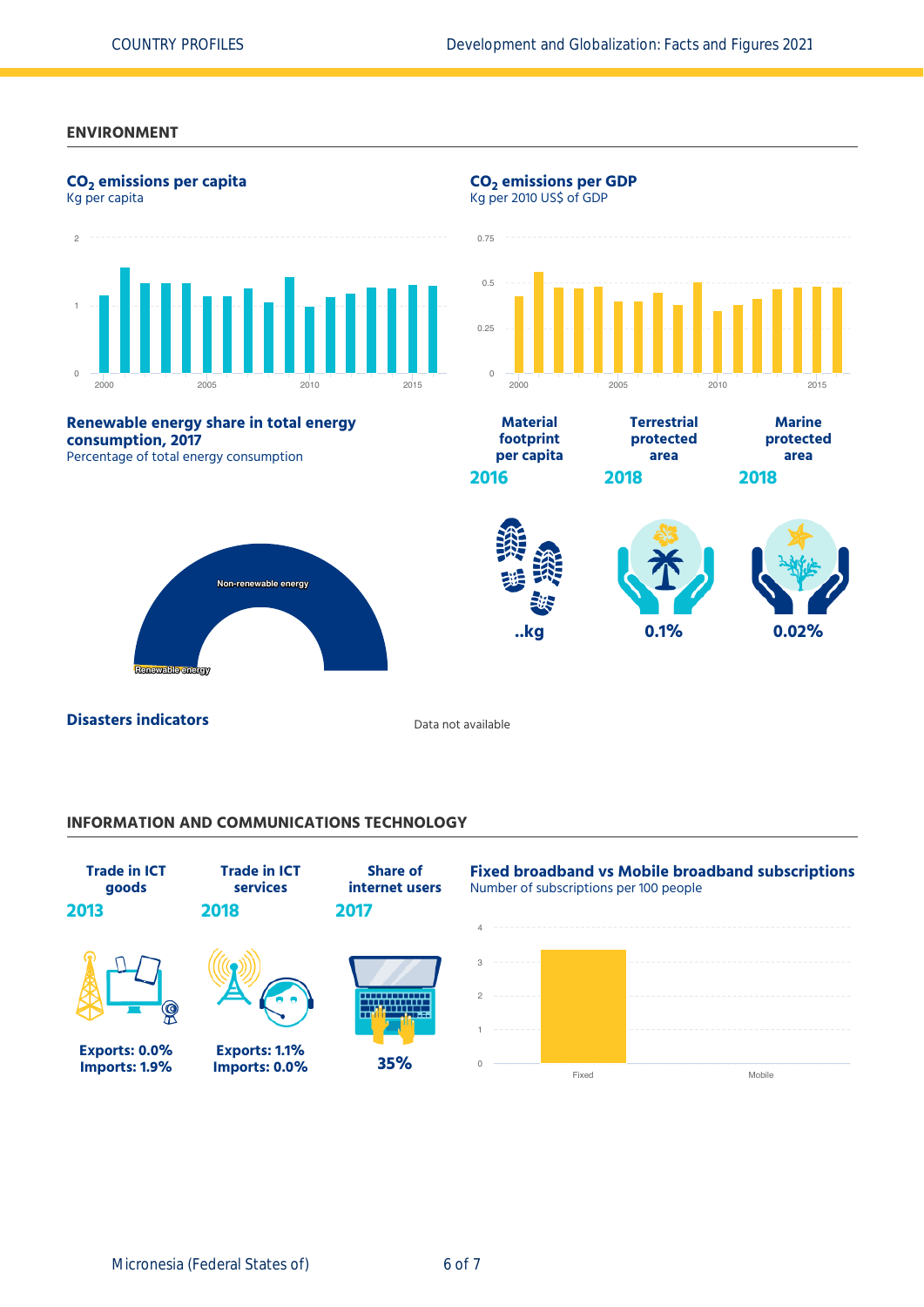#### **ENVIRONMENT**



# **INFORMATION AND COMMUNICATIONS TECHNOLOGY**